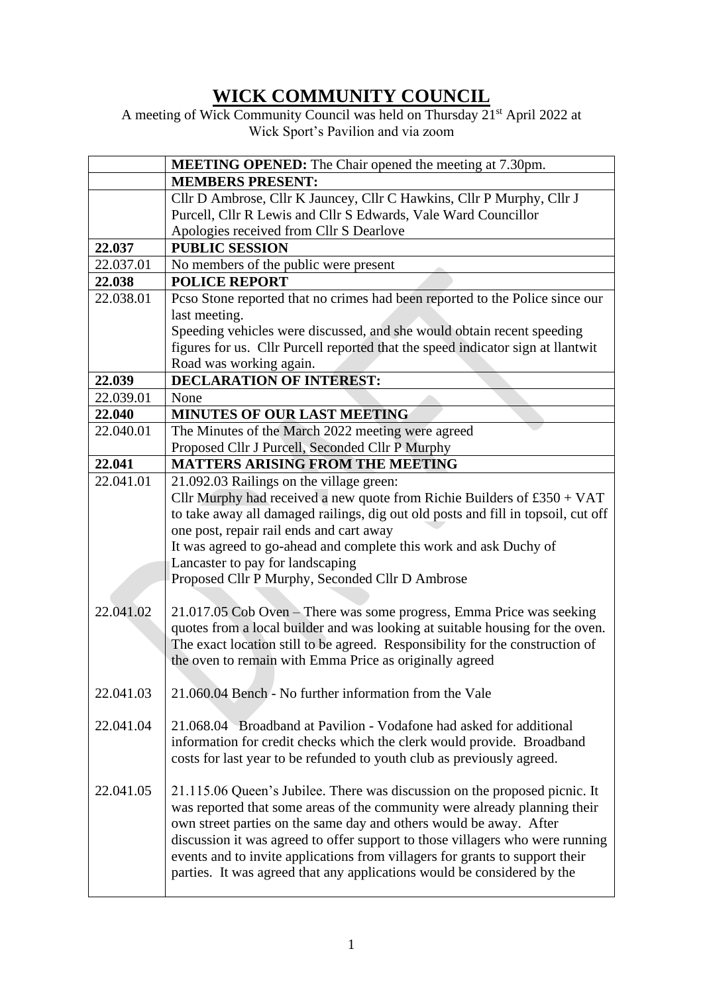## **WICK COMMUNITY COUNCIL**

A meeting of Wick Community Council was held on Thursday 21<sup>st</sup> April 2022 at Wick Sport's Pavilion and via zoom

|           | <b>MEETING OPENED:</b> The Chair opened the meeting at 7.30pm.                    |
|-----------|-----------------------------------------------------------------------------------|
|           | <b>MEMBERS PRESENT:</b>                                                           |
|           | Cllr D Ambrose, Cllr K Jauncey, Cllr C Hawkins, Cllr P Murphy, Cllr J             |
|           | Purcell, Cllr R Lewis and Cllr S Edwards, Vale Ward Councillor                    |
|           | Apologies received from Cllr S Dearlove                                           |
| 22.037    | <b>PUBLIC SESSION</b>                                                             |
| 22.037.01 | No members of the public were present                                             |
| 22.038    | <b>POLICE REPORT</b>                                                              |
| 22.038.01 | Pcso Stone reported that no crimes had been reported to the Police since our      |
|           | last meeting.                                                                     |
|           | Speeding vehicles were discussed, and she would obtain recent speeding            |
|           | figures for us. Cllr Purcell reported that the speed indicator sign at llantwit   |
|           | Road was working again.                                                           |
| 22.039    | <b>DECLARATION OF INTEREST:</b>                                                   |
| 22.039.01 | None                                                                              |
| 22.040    | <b>MINUTES OF OUR LAST MEETING</b>                                                |
| 22.040.01 | The Minutes of the March 2022 meeting were agreed                                 |
|           | Proposed Cllr J Purcell, Seconded Cllr P Murphy                                   |
| 22.041    | <b>MATTERS ARISING FROM THE MEETING</b>                                           |
| 22.041.01 | 21.092.03 Railings on the village green:                                          |
|           | Cllr Murphy had received a new quote from Richie Builders of $£350 + VAT$         |
|           | to take away all damaged railings, dig out old posts and fill in topsoil, cut off |
|           | one post, repair rail ends and cart away                                          |
|           | It was agreed to go-ahead and complete this work and ask Duchy of                 |
|           | Lancaster to pay for landscaping                                                  |
|           | Proposed Cllr P Murphy, Seconded Cllr D Ambrose                                   |
|           |                                                                                   |
| 22.041.02 | 21.017.05 Cob Oven – There was some progress, Emma Price was seeking              |
|           | quotes from a local builder and was looking at suitable housing for the oven.     |
|           | The exact location still to be agreed. Responsibility for the construction of     |
|           | the oven to remain with Emma Price as originally agreed                           |
|           |                                                                                   |
| 22.041.03 | 21.060.04 Bench - No further information from the Vale                            |
|           |                                                                                   |
| 22.041.04 | 21.068.04 Broadband at Pavilion - Vodafone had asked for additional               |
|           | information for credit checks which the clerk would provide. Broadband            |
|           | costs for last year to be refunded to youth club as previously agreed.            |
|           |                                                                                   |
| 22.041.05 | 21.115.06 Queen's Jubilee. There was discussion on the proposed picnic. It        |
|           | was reported that some areas of the community were already planning their         |
|           | own street parties on the same day and others would be away. After                |
|           | discussion it was agreed to offer support to those villagers who were running     |
|           | events and to invite applications from villagers for grants to support their      |
|           | parties. It was agreed that any applications would be considered by the           |
|           |                                                                                   |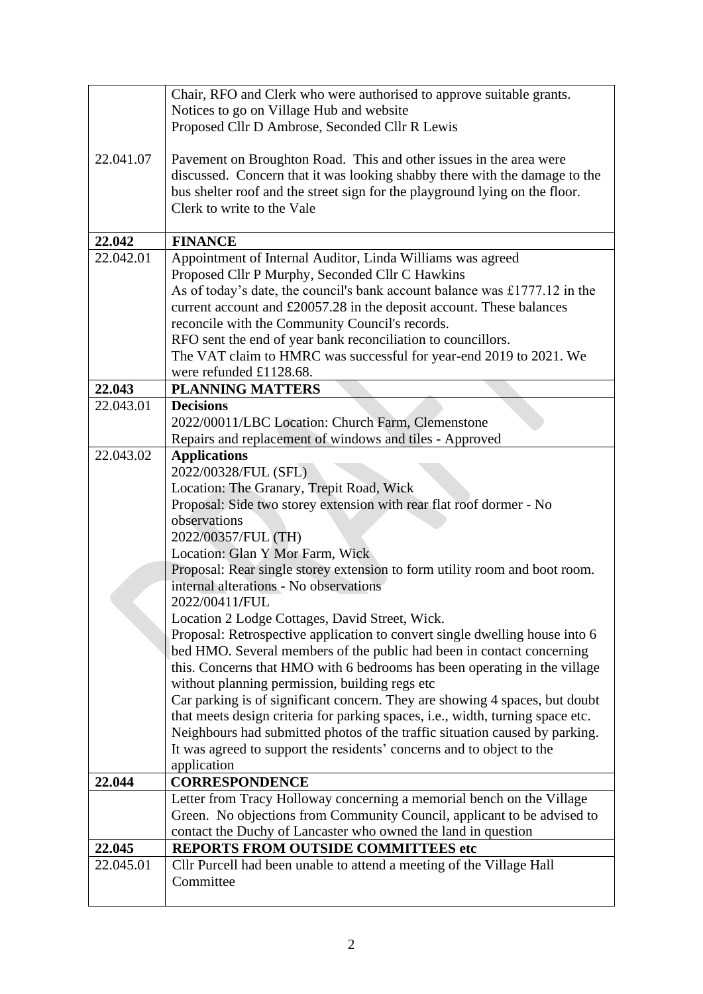|           | Chair, RFO and Clerk who were authorised to approve suitable grants.                                                                                                                                                            |
|-----------|---------------------------------------------------------------------------------------------------------------------------------------------------------------------------------------------------------------------------------|
|           | Notices to go on Village Hub and website                                                                                                                                                                                        |
|           | Proposed Cllr D Ambrose, Seconded Cllr R Lewis                                                                                                                                                                                  |
| 22.041.07 | Pavement on Broughton Road. This and other issues in the area were<br>discussed. Concern that it was looking shabby there with the damage to the<br>bus shelter roof and the street sign for the playground lying on the floor. |
|           | Clerk to write to the Vale                                                                                                                                                                                                      |
| 22.042    | <b>FINANCE</b>                                                                                                                                                                                                                  |
| 22.042.01 | Appointment of Internal Auditor, Linda Williams was agreed                                                                                                                                                                      |
|           | Proposed Cllr P Murphy, Seconded Cllr C Hawkins                                                                                                                                                                                 |
|           | As of today's date, the council's bank account balance was £1777.12 in the                                                                                                                                                      |
|           | current account and £20057.28 in the deposit account. These balances                                                                                                                                                            |
|           | reconcile with the Community Council's records.                                                                                                                                                                                 |
|           | RFO sent the end of year bank reconciliation to councillors.                                                                                                                                                                    |
|           | The VAT claim to HMRC was successful for year-end 2019 to 2021. We                                                                                                                                                              |
|           | were refunded £1128.68.                                                                                                                                                                                                         |
| 22.043    | <b>PLANNING MATTERS</b>                                                                                                                                                                                                         |
| 22.043.01 | <b>Decisions</b>                                                                                                                                                                                                                |
|           | 2022/00011/LBC Location: Church Farm, Clemenstone                                                                                                                                                                               |
|           | Repairs and replacement of windows and tiles - Approved                                                                                                                                                                         |
| 22.043.02 | <b>Applications</b>                                                                                                                                                                                                             |
|           | 2022/00328/FUL (SFL)                                                                                                                                                                                                            |
|           | Location: The Granary, Trepit Road, Wick                                                                                                                                                                                        |
|           | Proposal: Side two storey extension with rear flat roof dormer - No                                                                                                                                                             |
|           | observations                                                                                                                                                                                                                    |
|           | 2022/00357/FUL (TH)                                                                                                                                                                                                             |
|           | Location: Glan Y Mor Farm, Wick                                                                                                                                                                                                 |
|           | Proposal: Rear single storey extension to form utility room and boot room.<br>internal alterations - No observations                                                                                                            |
|           | 2022/00411/FUL                                                                                                                                                                                                                  |
|           | Location 2 Lodge Cottages, David Street, Wick.                                                                                                                                                                                  |
|           | Proposal: Retrospective application to convert single dwelling house into 6                                                                                                                                                     |
|           | bed HMO. Several members of the public had been in contact concerning                                                                                                                                                           |
|           | this. Concerns that HMO with 6 bedrooms has been operating in the village                                                                                                                                                       |
|           | without planning permission, building regs etc                                                                                                                                                                                  |
|           | Car parking is of significant concern. They are showing 4 spaces, but doubt                                                                                                                                                     |
|           | that meets design criteria for parking spaces, i.e., width, turning space etc.                                                                                                                                                  |
|           | Neighbours had submitted photos of the traffic situation caused by parking.                                                                                                                                                     |
|           | It was agreed to support the residents' concerns and to object to the                                                                                                                                                           |
|           | application                                                                                                                                                                                                                     |
| 22.044    | <b>CORRESPONDENCE</b><br>Letter from Tracy Holloway concerning a memorial bench on the Village                                                                                                                                  |
|           | Green. No objections from Community Council, applicant to be advised to                                                                                                                                                         |
|           | contact the Duchy of Lancaster who owned the land in question                                                                                                                                                                   |
| 22.045    | <b>REPORTS FROM OUTSIDE COMMITTEES etc</b>                                                                                                                                                                                      |
| 22.045.01 | Cllr Purcell had been unable to attend a meeting of the Village Hall                                                                                                                                                            |
|           | Committee                                                                                                                                                                                                                       |
|           |                                                                                                                                                                                                                                 |